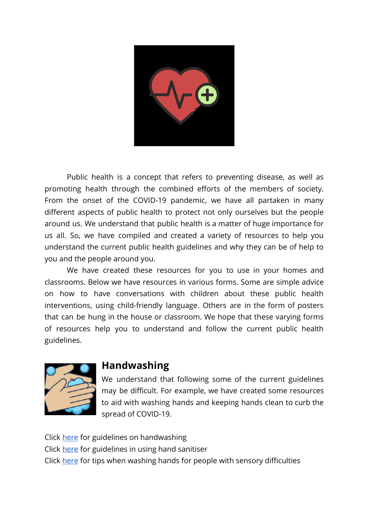

Public health is a concept that refers to preventing disease, as well as promoting health through the combined efforts of the members of society. From the onset of the COVID-19 pandemic, we have all partaken in many different aspects of public health to protect not only ourselves but the people around us. We understand that public health is a matter of huge importance for us all. So, we have compiled and created a variety of resources to help you understand the current public health guidelines and why they can be of help to you and the people around you.

We have created these resources for you to use in your homes and classrooms. Below we have resources in various forms. Some are simple advice on how to have conversations with children about these public health interventions, using child-friendly language. Others are in the form of posters that can be hung in the house or classroom. We hope that these varying forms of resources help you to understand and follow the current public health guidelines.



## **Handwashing**

We understand that following some of the current guidelines may be difficult. For example, we have created some resources to aid with washing hands and keeping hands clean to curb the spread of COVID-19.

Click [here](https://www.youtube.com/watch?v=IsgLivAD2FE) for guidelines on handwashing Click [here](https://autism-toolkit.ie/wp-content/uploads/2020/09/2-4stay.pdf) for guidelines in using hand sanitiser Click [here](https://www.sensoryintegration.org.uk/News/8821506) for tips when washing hands for people with sensory difficulties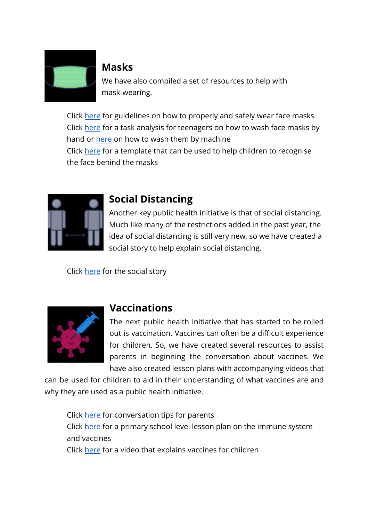

## **Masks**

We have also compiled a set of resources to help with mask-wearing.

Click [here](https://autism-toolkit.ie/wp-content/uploads/2020/09/2-1use.pdf) for guidelines on how to properly and safely wear face masks Click [here](https://autism-toolkit.ie/wp-content/uploads/2020/09/2-2-1wash.pdf) for a task analysis for teenagers on how to wash face masks by hand or [here](https://autism-toolkit.ie/wp-content/uploads/2020/09/2-2-2mask.pdf) on how to wash them by machine Click [here](https://autism-toolkit.ie/wp-content/uploads/2020/09/2-3photo.pdf) for a template that can be used to help children to recognise the face behind the masks



## **Social Distancing**

Another key public health initiative is that of social distancing. Much like many of the restrictions added in the past year, the idea of social distancing is still very new, so we have created a social story to help explain social distancing.

Click [here](https://www.middletownautism.com/news/coronavirus-social-distancing-social-story-3-2020) for the social story



## **Vaccinations**

The next public health initiative that has started to be rolled out is vaccination. Vaccines can often be a difficult experience for children. So, we have created several resources to assist parents in beginning the conversation about vaccines. We have also created lesson plans with accompanying videos that

can be used for children to aid in their understanding of what vaccines are and why they are used as a public health initiative.

Click [here](https://autism-toolkit.ie/wp-content/uploads/2021/04/How-to-Explain-Vaccines-to-your-child-2.pdf) for conversation tips for parents Click [here](https://autism-toolkit.ie/wp-content/uploads/2021/04/Vaccine-Lesson-Plan.pdf) for a primary school level lesson plan on the immune system and vaccines Click [here](https://autism-toolkit.ie/wp-content/uploads/2021/04/Vaccines-and-the-Immune-System.mp4) for a video that explains vaccines for children